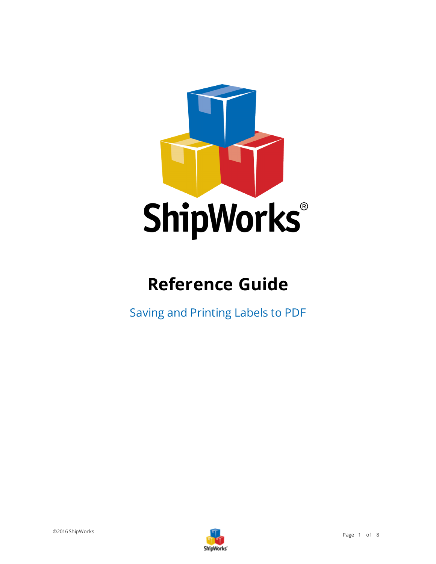

# **Reference Guide**

Saving and Printing Labels to PDF

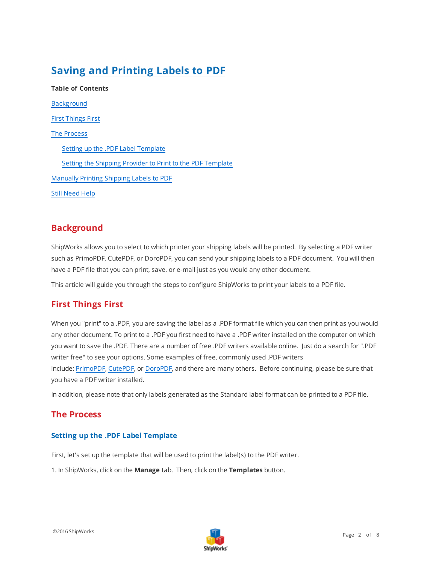## **Saving and Printing Labels to PDF**

**Table of Contents** [Background](#page-1-0) First [Things](#page-1-1) First The [Process](#page-1-2) Setting up the .PDF Label [Template](#page-1-3) Setting the Shipping Provider to Print to the PDF [Template](#page-4-0) [Manually](#page-6-0) Printing Shipping Labels to PDF Still [Need](#page-7-0) Help

## <span id="page-1-0"></span>**Background**

ShipWorks allows you to select to which printer your shipping labels will be printed. By selecting a PDF writer such as PrimoPDF, CutePDF, or DoroPDF, you can send your shipping labels to a PDF document. You will then have a PDF file that you can print, save, or e-mail just as you would any other document.

<span id="page-1-1"></span>This article will guide you through the steps to configure ShipWorks to print your labels to a PDF file.

## **First Things First**

When you "print" to a .PDF, you are saving the label as a .PDF format file which you can then print as you would any other document. To print to a .PDF you first need to have a .PDF writer installed on the computer on which you want to save the .PDF. There are a number of free .PDF writers available online. Just do a search for ".PDF writer free" to see your options. Some examples of free, commonly used .PDF writers include: [PrimoPDF,](http://www.primopdf.com/) [CutePDF](http://www.cutepdf.com/products/cutepdf/writer.asp), or [DoroPDF,](http://download.cnet.com/Doro-PDF-Writer/3000-18497_4-10578740.html) and there are many others. Before continuing, please be sure that you have a PDF writer installed.

<span id="page-1-2"></span>In addition, please note that only labels generated as the Standard label format can be printed to a PDF file.

### <span id="page-1-3"></span>**The Process**

#### **Setting up the .PDF Label Template**

First, let's set up the template that will be used to print the label(s) to the PDF writer.

1. In ShipWorks, click on the **Manage** tab. Then, click on the **Templates** button.

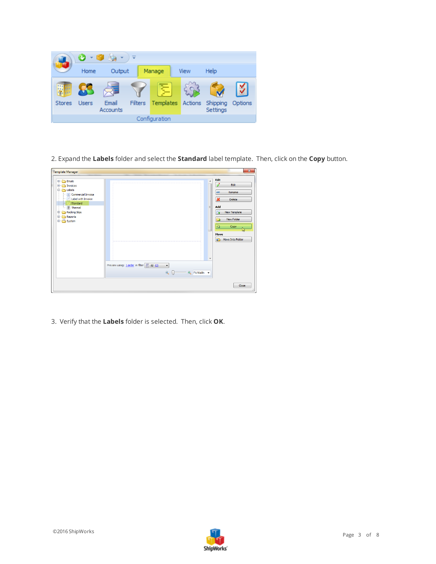

2. Expand the **Labels** folder and select the **Standard** label template. Then, click on the **Copy** button.

| <b>Template Manager</b>                                                                                                                                                                                   |                                                                                                                                                              | $\mathbf{x}$                                                                                                                                                                                 |
|-----------------------------------------------------------------------------------------------------------------------------------------------------------------------------------------------------------|--------------------------------------------------------------------------------------------------------------------------------------------------------------|----------------------------------------------------------------------------------------------------------------------------------------------------------------------------------------------|
| Emails<br>田一<br>Invoices<br><b>tabels</b><br>$\Box$<br>Commercial Invoice<br><b>El Label with Invoice</b><br>$\Box$ Standard<br>--         Thermal<br>Packing Slips<br>由…<br>Reports<br>国…<br>System<br>由 | $\overline{\phantom{a}}$<br>Ξ                                                                                                                                | Edit<br>Ï<br>Edit<br>Rename<br><b>ABC</b><br>$\boldsymbol{\mathsf{x}}$<br><b>Delete</b><br>Add<br>$\Box$<br>New Template<br>New Folder<br>a<br>t.<br>Copy<br><b>Move</b><br>Move Into Folder |
|                                                                                                                                                                                                           | ٠<br>Preview using: $1 \text{ order}$ in filter $\begin{bmatrix} 1 \\ 1 \end{bmatrix}$ All (2)<br>$\check{}$<br>$\alpha$<br><b>E</b> Fit Width $\rightarrow$ |                                                                                                                                                                                              |
|                                                                                                                                                                                                           |                                                                                                                                                              | Close                                                                                                                                                                                        |

3. Verify that the **Labels** folder is selected. Then, click **OK**.

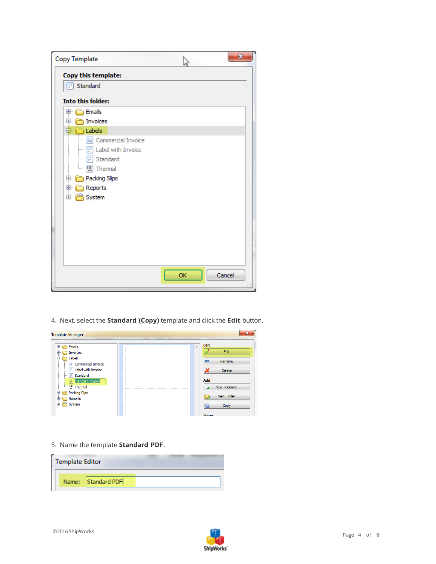| Copy Template                                                                                                                                                                                  | $\mathbf{x}$ |
|------------------------------------------------------------------------------------------------------------------------------------------------------------------------------------------------|--------------|
| Copy this template:                                                                                                                                                                            |              |
| Standard                                                                                                                                                                                       |              |
| <b>Into this folder:</b>                                                                                                                                                                       |              |
| <b>Emails</b><br>⊕⊡<br>中 nvoices<br>़ी Labels<br>Commercial Invoice<br>Ħ.<br><u>:</u><br>$\boxed{f}$ Label with Invoice<br><u>:</u><br>Standard<br>Packing Slips<br>Reports<br>$+$<br>E System |              |
|                                                                                                                                                                                                |              |
|                                                                                                                                                                                                | Cancel<br>OK |

4. Next, select the **Standard (Copy)** template and click the **Edit** button.



5. Name the template **Standard PDF**.

| <b>Template Editor</b> |                    |  |  |
|------------------------|--------------------|--|--|
|                        | Name: Standard PDF |  |  |

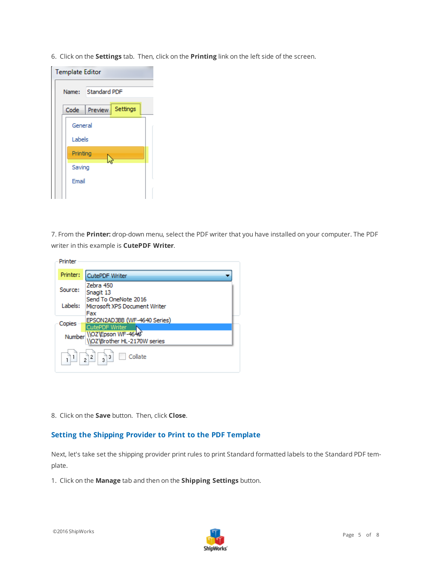6. Click on the **Settings** tab. Then, click on the **Printing** link on the left side of the screen.



7. From the **Printer:** drop-down menu, select the PDF writer that you have installed on your computer. The PDF writer in this example is **CutePDF Writer**.

| Printer  |                                                           |
|----------|-----------------------------------------------------------|
| Printer: | <b>CutePDF Writer</b>                                     |
| Source:  | Zebra 450<br>Snagit 13<br>Send To OneNote 2016            |
| Labels:  | Microsoft XPS Document Writer<br>Fax                      |
| Copies   | EPSON2AD3BB (WF-4640 Series)<br><b>CutePDF Writer</b>     |
|          | Number \\OZ\Epson WF-464&<br>\\OZ\Brother HL-2170W series |
|          | $3^{3}$<br>Collate<br> 2 <br>$\frac{1}{2}$                |

<span id="page-4-0"></span>8. Click on the **Save** button. Then, click **Close**.

#### **Setting the Shipping Provider to Print to the PDF Template**

Next, let's take set the shipping provider print rules to print Standard formatted labels to the Standard PDF template.

1. Click on the **Manage** tab and then on the **Shipping Settings** button.

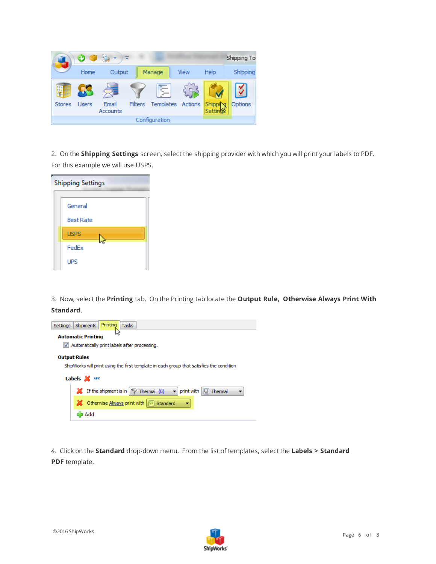

2. On the **Shipping Settings** screen, select the shipping provider with which you will print your labels to PDF. For this example we will use USPS.

| <b>Shipping Settings</b> |  |  |  |  |
|--------------------------|--|--|--|--|
|                          |  |  |  |  |
| General                  |  |  |  |  |
| <b>Best Rate</b>         |  |  |  |  |
| <b>USPS</b>              |  |  |  |  |
| FedEx                    |  |  |  |  |
| <b>UPS</b>               |  |  |  |  |

3. Now, select the **Printing** tab. On the Printing tab locate the **Output Rule, Otherwise Always Print With Standard**.



4. Click on the **Standard** drop-down menu. From the list of templates, select the **Labels > Standard PDF** template.

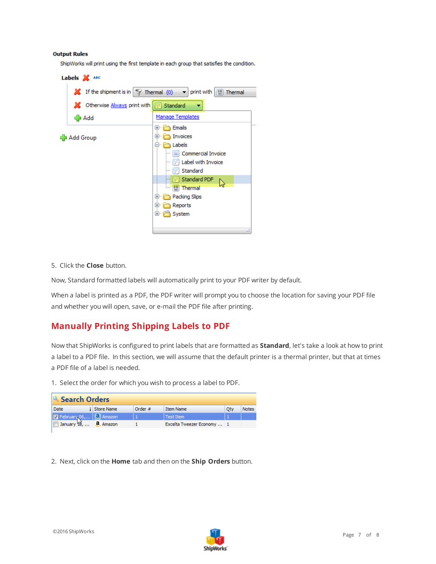#### **Output Rules**

ShipWorks will print using the first template in each group that satisfies the condition.



5. Click the **Close** button.

Now, Standard formatted labels will automatically print to your PDF writer by default.

<span id="page-6-0"></span>When a label is printed as a PDF, the PDF writer will prompt you to choose the location for saving your PDF file and whether you will open, save, or e-mail the PDF file after printing.

## **Manually Printing Shipping Labels to PDF**

Now that ShipWorks is configured to print labels that are formatted as **Standard**, let's take a look at how to print a label to a PDF file. In this section, we will assume that the default printer is a thermal printer, but that at times a PDF file of a label is needed.

1. Select the order for which you wish to process a label to PDF.

| Search Orders                                     |                     |         |                            |     |              |
|---------------------------------------------------|---------------------|---------|----------------------------|-----|--------------|
| <b>Date</b>                                       | <b>1</b> Store Name | Order # | <b>Item Name</b>           | Oty | <b>Notes</b> |
| February 06,   a Amazon                           |                     |         | Test Item                  |     |              |
| $\Box$ January $\mathfrak{B}$ , <b>a</b> , Amazon |                     |         | Excelta Tweezer Economy  1 |     |              |
|                                                   |                     |         |                            |     |              |

2. Next, click on the **Home** tab and then on the **Ship Orders** button.